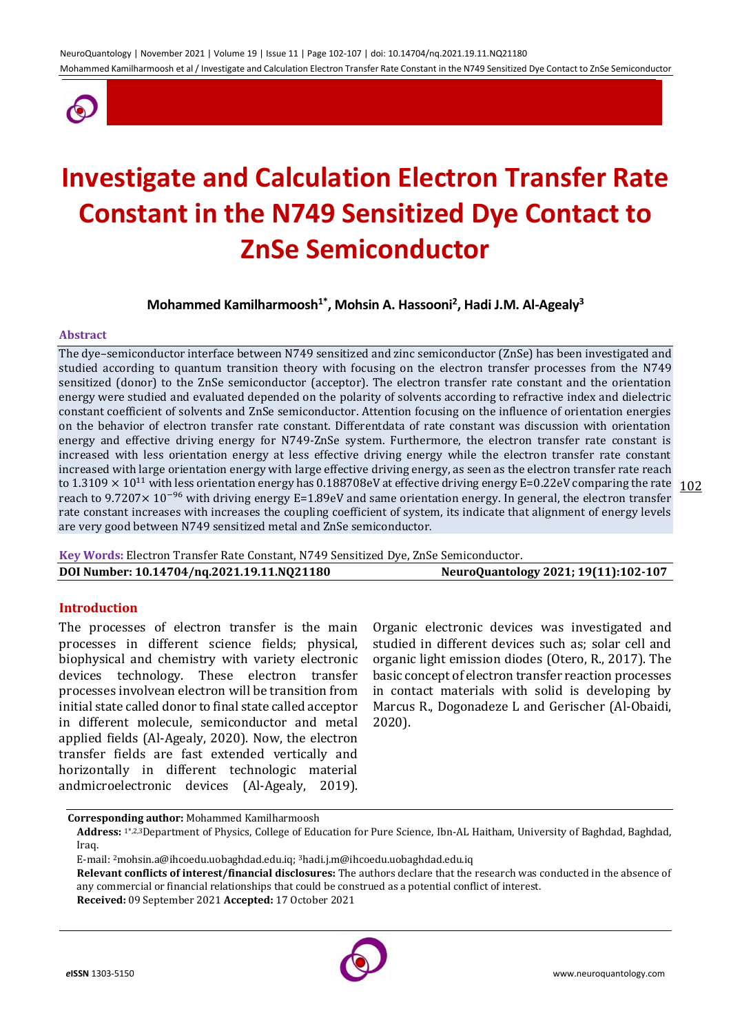

# **Investigate and Calculation Electron Transfer Rate Constant in the N749 Sensitized Dye Contact to ZnSe Semiconductor**

**Mohammed Kamilharmoosh1\* , Mohsin A. Hassooni<sup>2</sup> , Hadi J.M. Al-Agealy<sup>3</sup>**

#### **Abstract**

to 1.3109  $\times$  10<sup>11</sup> with less orientation energy has 0.188708eV at effective driving energy E=0.22eV comparing the rate  $\frac{102}{102}$ The dye–semiconductor interface between N749 sensitized and zinc semiconductor (ZnSe) has been investigated and studied according to quantum transition theory with focusing on the electron transfer processes from the N749 sensitized (donor) to the ZnSe semiconductor (acceptor). The electron transfer rate constant and the orientation energy were studied and evaluated depended on the polarity of solvents according to refractive index and dielectric constant coefficient of solvents and ZnSe semiconductor. Attention focusing on the influence of orientation energies on the behavior of electron transfer rate constant. Differentdata of rate constant was discussion with orientation energy and effective driving energy for N749-ZnSe system. Furthermore, the electron transfer rate constant is increased with less orientation energy at less effective driving energy while the electron transfer rate constant increased with large orientation energy with large effective driving energy, as seen as the electron transfer rate reach reach to 9.7207× 10−96 with driving energy E=1.89eV and same orientation energy. In general, the electron transfer rate constant increases with increases the coupling coefficient of system, its indicate that alignment of energy levels are very good between N749 sensitized metal and ZnSe semiconductor.

**Key Words:** Electron Transfer Rate Constant, N749 Sensitized Dye, ZnSe Semiconductor. **DOI Number: 10.14704/nq.2021.19.11.NQ21180 NeuroQuantology 2021; 19(11):102-107**

## **Introduction**

The processes of electron transfer is the main processes in different science fields; physical, biophysical and chemistry with variety electronic devices technology. These electron transfer processes involvean electron will be transition from initial state called donor to final state called acceptor in different molecule, semiconductor and metal applied fields (Al-Agealy, 2020). Now, the electron transfer fields are fast extended vertically and horizontally in different technologic material andmicroelectronic devices (Al-Agealy, 2019).

Organic electronic devices was investigated and studied in different devices such as; solar cell and organic light emission diodes (Otero, R., 2017). The basic concept of electron transfer reaction processes in contact materials with solid is developing by Marcus R., Dogonadeze L and Gerischer (Al-Obaidi, 2020).

**Corresponding author:** Mohammed Kamilharmoosh

**Address:** 1\*,2,3Department of Physics, College of Education for Pure Science, Ibn-AL Haitham, University of Baghdad, Baghdad, Iraq.

E-mail: 2[mohsin.a@ihcoedu.uobaghdad.edu.iq;](mailto:mohsin.a@ihcoedu.uobaghdad.edu.iq) 3hadi.j.m@ihcoedu.uobaghdad.edu.iq

**Relevant conflicts of interest/financial disclosures:** The authors declare that the research was conducted in the absence of any commercial or financial relationships that could be construed as a potential conflict of interest.

**Received:** 09 September 2021 **Accepted:** 17 October 2021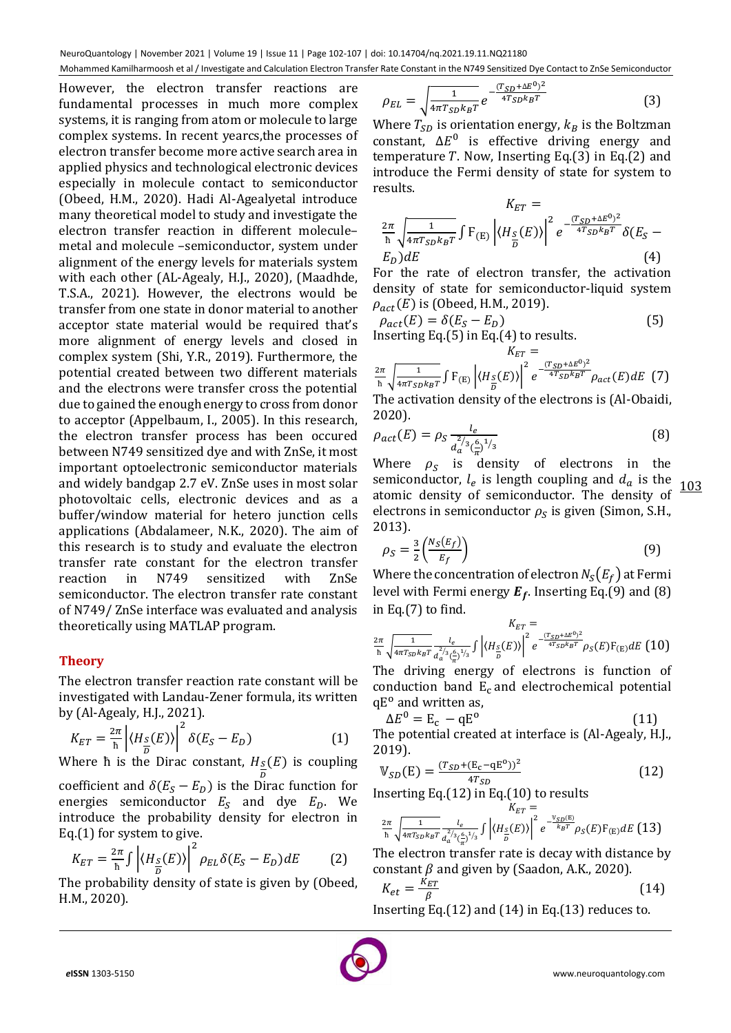NeuroQuantology | November 2021 | Volume 19 | Issue 11 | Page 102-107 | doi: 10.14704/nq.2021.19.11.NQ21180 Mohammed Kamilharmoosh et al / Investigate and Calculation Electron Transfer Rate Constant in the N749 Sensitized Dye Contact to ZnSe Semiconductor

However, the electron transfer reactions are fundamental processes in much more complex systems, it is ranging from atom or molecule to large complex systems. In recent yearcs,the processes of electron transfer become more active search area in applied physics and technological electronic devices especially in molecule contact to semiconductor (Obeed, H.M., 2020). Hadi Al-Agealyetal introduce many theoretical model to study and investigate the electron transfer reaction in different molecule– metal and molecule –semiconductor, system under alignment of the energy levels for materials system with each other (AL-Agealy, H.J., 2020), (Maadhde, T.S.A., 2021). However, the electrons would be transfer from one state in donor material to another acceptor state material would be required that's more alignment of energy levels and closed in complex system (Shi, Y.R., 2019). Furthermore, the potential created between two different materials and the electrons were transfer cross the potential due to gained the enough energy to cross from donor to acceptor (Appelbaum, I., 2005). In this research, the electron transfer process has been occured between N749 sensitized dye and with ZnSe, it most important optoelectronic semiconductor materials and widely bandgap 2.7 eV. ZnSe uses in most solar photovoltaic cells, electronic devices and as a buffer/window material for hetero junction cells applications (Abdalameer, N.K., 2020). The aim of this research is to study and evaluate the electron transfer rate constant for the electron transfer reaction in N749 sensitized with ZnSe semiconductor. The electron transfer rate constant of N749/ ZnSe interface was evaluated and analysis theoretically using MATLAP program.

## **Theory**

The electron transfer reaction rate constant will be investigated with Landau-Zener formula, its written by (Al-Agealy, H.J., 2021).

$$
K_{ET} = \frac{2\pi}{\hbar} \left| \langle H_{\frac{S}{D}}(E) \rangle \right|^2 \delta(E_S - E_D)
$$
 (1)

Where  $\overline{h}$  is the Dirac constant,  $H_s$ D  $(E)$  is coupling coefficient and  $\delta (E_S - E_D)$  is the Dirac function for energies semiconductor  $E_S$  and dye  $E_D$ . We introduce the probability density for electron in Eq.(1) for system to give.

$$
K_{ET} = \frac{2\pi}{h} \int \left| \langle H_{\frac{S}{D}}(E) \rangle \right|^2 \rho_{EL} \delta(E_S - E_D) dE \tag{2}
$$

The probability density of state is given by (Obeed, H.M., 2020).

$$
\rho_{EL} = \sqrt{\frac{1}{4\pi T_{SD}k_B T}} e^{-\frac{(T_{SD} + \Delta E^0)^2}{4T_{SD}k_B T}}
$$
(3)

Where  $T_{SD}$  is orientation energy,  $k_B$  is the Boltzman constant,  $\Delta E^0$  is effective driving energy and temperature T. Now, Inserting Eq.(3) in Eq.(2) and introduce the Fermi density of state for system to results.

$$
K_{ET} = \frac{2\pi}{\hbar} \sqrt{\frac{1}{4\pi T_{SD} k_B T}} \int F_{(E)} \left| \langle H_{\frac{S}{D}}(E) \rangle \right|^2 e^{-\frac{(T_{SD} + \Delta E^0)^2}{4T_{SD} k_B T}} \delta(E_S - E_D) dE \tag{4}
$$

For the rate of electron transfer, the activation density of state for semiconductor-liquid system  $\rho_{act}(E)$  is (Obeed, H.M., 2019).

$$
\rho_{act}(E) = \delta(E_S - E_D)
$$
\n(5)  
Inserting Eq.(5) in Eq.(4) to results.

$$
K_{ET} = \frac{2\pi}{\hbar} \sqrt{\frac{1}{4\pi T_{SD} k_B T}} \int F_{(E)} \left| \langle H_{S} (E) \rangle \right|^2 e^{-\frac{(T_{SD} + \Delta E^0)^2}{4T_{SD} k_B T}} \rho_{act}(E) dE \tag{7}
$$

The activation density of the electrons is (Al-Obaidi, 2020).

$$
\rho_{act}(E) = \rho_S \frac{l_e}{d_a^{2/3} (\frac{\epsilon}{\pi})^{1/3}}
$$
(8)

103 Where  $\rho_s$  is density of electrons in the semiconductor,  $l_e$  is length coupling and  $d_a$  is the atomic density of semiconductor. The density of electrons in semiconductor  $\rho_S$  is given (Simon, S.H., 2013).

$$
\rho_S = \frac{3}{2} \left( \frac{N_S(E_f)}{E_f} \right) \tag{9}
$$

Where the concentration of electron  $N_S(E_f)$  at Fermi level with Fermi energy  $E_f$ . Inserting Eq.(9) and (8) in Eq.(7) to find.

$$
\frac{2\pi}{\hbar} \sqrt{\frac{1}{4\pi T_{SD} k_B T}} \frac{l_e}{a_a^{2/3} (\frac{\epsilon}{\pi})^{1/3}} \int \left| \langle H_{\frac{S}{D}}(E) \rangle \right|^2 e^{-\frac{(T_{SD} + \Delta E^0)^2}{4T_{SD} k_B T}} \rho_S(E) F_{(E)} dE \tag{10}
$$

The driving energy of electrons is function of conduction band  $E_c$  and electrochemical potential qE<sup>o</sup> and written as,

$$
\Delta E^0 = \mathbf{E}_\mathrm{c} - \mathbf{q} \mathbf{E}^0 \tag{11}
$$

The potential created at interface is (Al-Agealy, H.J., 2019).

$$
\mathbb{V}_{SD}(E) = \frac{(T_{SD} + (E_c - qE^0))^2}{4T_{SD}}
$$
(12)

Inserting Eq.(12) in Eq.(10) to results

$$
\frac{2\pi}{\hbar} \sqrt{\frac{1}{4\pi T_{SD}k_BT}} \frac{l_e}{a_a^{2/3}(\frac{\epsilon}{\pi})^{1/3}} \int \left| \langle H_{\frac{S}{D}}(E) \rangle \right|^2 e^{-\frac{V_{SD}(E)}{k_BT}} \rho_S(E) F_{(E)} dE \tag{13}
$$

The electron transfer rate is decay with distance by constant  $\beta$  and given by (Saadon, A.K., 2020).

$$
K_{et} = \frac{K_{ET}}{\beta} \tag{14}
$$

Inserting Eq.(12) and (14) in Eq.(13) reduces to.

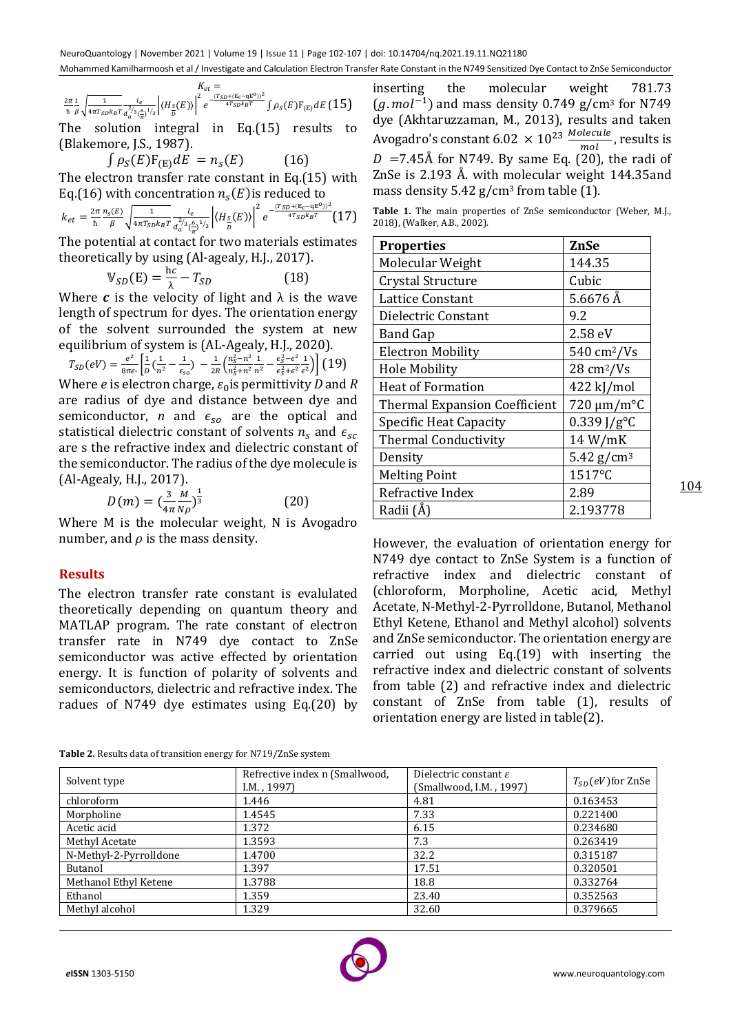$$
\frac{Z_{et}}{\hbar} = \frac{2\pi}{\sqrt{4\pi T_{SD}k_BT}} \frac{1_e}{a_a^{2/3}(\frac{6}{\pi})^{1/3}} \left| \langle H_{\frac{S}{D}}(E) \rangle \right|^2 e^{-\frac{(T_{SD} + (E_c - qE^0))^2}{4T_{SD}k_BT}} \int \rho_S(E) F_{(E)} dE (15)
$$

The solution integral in Eq.(15) results to (Blakemore, J.S., 1987).

 $\int \rho_{S}(E) F_{(E)} dE = n_{S}(E)$  (16) The electron transfer rate constant in Eq.(15) with Eq.(16) with concentration  $n_{s}(E)$ is reduced to

$$
k_{et} = \frac{2\pi}{\hbar} \frac{n_s(E)}{\beta} \sqrt{\frac{1}{4\pi T_{SD}k_B T}} \frac{l_e}{a_a^{2/3}(\frac{\epsilon}{\pi})^{1/3}} \left| \langle H_{\frac{S}{D}}(E) \rangle \right|^2 e^{-\frac{(T_{SD} + (E_c - qE^0))^2}{4T_{SD}k_B T}} (17)
$$

The potential at contact for two materials estimates theoretically by using (Al-agealy, H.J., 2017).

$$
\mathbb{V}_{SD}(E) = \frac{hc}{\lambda} - T_{SD} \tag{18}
$$

Where  $\boldsymbol{c}$  is the velocity of light and  $\lambda$  is the wave length of spectrum for dyes. The orientation energy of the solvent surrounded the system at new equilibrium of system is (AL-Agealy, H.J., 2020).

$$
T_{SD}(eV) = \frac{e^2}{8\pi\epsilon_0} \left[ \frac{1}{D} \left( \frac{1}{n^2} - \frac{1}{\epsilon_{so}} \right) - \frac{1}{2R} \left( \frac{n_S^2 - n^2}{n_S^2 + n^2} \frac{1}{n^2} - \frac{\epsilon_S^2 - \epsilon^2}{\epsilon_S^2 + \epsilon^2 \epsilon^2} \right) \right]
$$
 (19)  
Where *e* is electron charge,  $\epsilon_0$  is permittivity *D* and *R*  
are radius of dye and distance between dye and  
semiconductor, *n* and  $\epsilon_{so}$  are the optical and  
statistical dielectric constant of solvents *n<sub>s</sub>* and  $\epsilon_{sc}$   
are s the refractive index and dielectric constant of  
the semiconductor. The radius of the dye molecule is  
(Al-Agealy, H.J., 2017).

$$
D(m) = \left(\frac{3}{4\pi} \frac{M}{N\rho}\right)^{\frac{1}{3}} \tag{20}
$$

Where M is the molecular weight, N is Avogadro number, and  $\rho$  is the mass density.

## **Results**

The electron transfer rate constant is evalulated theoretically depending on quantum theory and MATLAP program. The rate constant of electron transfer rate in N749 dye contact to ZnSe semiconductor was active effected by orientation energy. It is function of polarity of solvents and semiconductors, dielectric and refractive index. The radues of N749 dye estimates using Eq.(20) by

inserting the molecular weight 781.73  $(g$ .  $mol^{-1}$ ) and mass density 0.749 g/cm<sup>3</sup> for N749 dye (Akhtaruzzaman, M., 2013), results and taken Avogadro's constant 6.02  $\times$  10<sup>23</sup>  $\frac{Molecule}{mol}$ , results is  $mol$  $D = 7.45\text{\AA}$  for N749. By same Eq. (20), the radi of ZnSe is 2.193 Å. with molecular weight 144.35and mass density  $5.42$  g/cm<sup>3</sup> from table (1).

**Table 1.** The main properties of ZnSe semiconductor (Weber, M.J., 2018), (Walker, A.B., 2002).

| <b>Properties</b>                    | ZnSe                         |
|--------------------------------------|------------------------------|
| Molecular Weight                     | 144.35                       |
| Crystal Structure                    | Cubic                        |
| Lattice Constant                     | $5.6676$ Å                   |
| Dielectric Constant                  | 9.2                          |
| Band Gap                             | 2.58 eV                      |
| <b>Electron Mobility</b>             | $540 \text{ cm}^2/\text{Vs}$ |
| <b>Hole Mobility</b>                 | $28 \text{ cm}^2/\text{Vs}$  |
| <b>Heat of Formation</b>             | 422 kJ/mol                   |
| <b>Thermal Expansion Coefficient</b> | $720 \mu m/m^{\circ}C$       |
| Specific Heat Capacity               | $0.339$ J/g <sup>o</sup> C   |
| <b>Thermal Conductivity</b>          | 14 W/mK                      |
| Density                              | 5.42 $g/cm^3$                |
| <b>Melting Point</b>                 | 1517°C                       |
| Refractive Index                     | 2.89                         |
| Radii (Å)                            | 2.193778                     |

However, the evaluation of orientation energy for N749 dye contact to ZnSe System is a function of refractive index and dielectric constant of (chloroform, Morpholine, Acetic acid, Methyl Acetate, N-Methyl-2-Pyrrolldone, Butanol, Methanol Ethyl Ketene, Ethanol and Methyl alcohol) solvents and ZnSe semiconductor. The orientation energy are carried out using Eq.(19) with inserting the refractive index and dielectric constant of solvents from table (2) and refractive index and dielectric constant of ZnSe from table (1), results of orientation energy are listed in table(2).

| <b>Table 2.</b> Results data of transition energy for N719/ZnSe system |  |  |
|------------------------------------------------------------------------|--|--|

| Solvent type           | Refrective index n (Smallwood,<br>$I.M.$ , 1997) | Dielectric constant $\varepsilon$<br>(Smallwood, I.M., 1997) | $T_{SD}(eV)$ for ZnSe |
|------------------------|--------------------------------------------------|--------------------------------------------------------------|-----------------------|
| chloroform             | 1.446                                            | 4.81                                                         | 0.163453              |
| Morpholine             | 1.4545                                           | 7.33                                                         | 0.221400              |
| Acetic acid            | 1.372                                            | 6.15                                                         | 0.234680              |
| Methyl Acetate         | 1.3593                                           | 7.3                                                          | 0.263419              |
| N-Methyl-2-Pyrrolldone | 1.4700                                           | 32.2                                                         | 0.315187              |
| Butanol                | 1.397                                            | 17.51                                                        | 0.320501              |
| Methanol Ethyl Ketene  | 1.3788                                           | 18.8                                                         | 0.332764              |
| Ethanol                | 1.359                                            | 23.40                                                        | 0.352563              |
| Methyl alcohol         | 1.329                                            | 32.60                                                        | 0.379665              |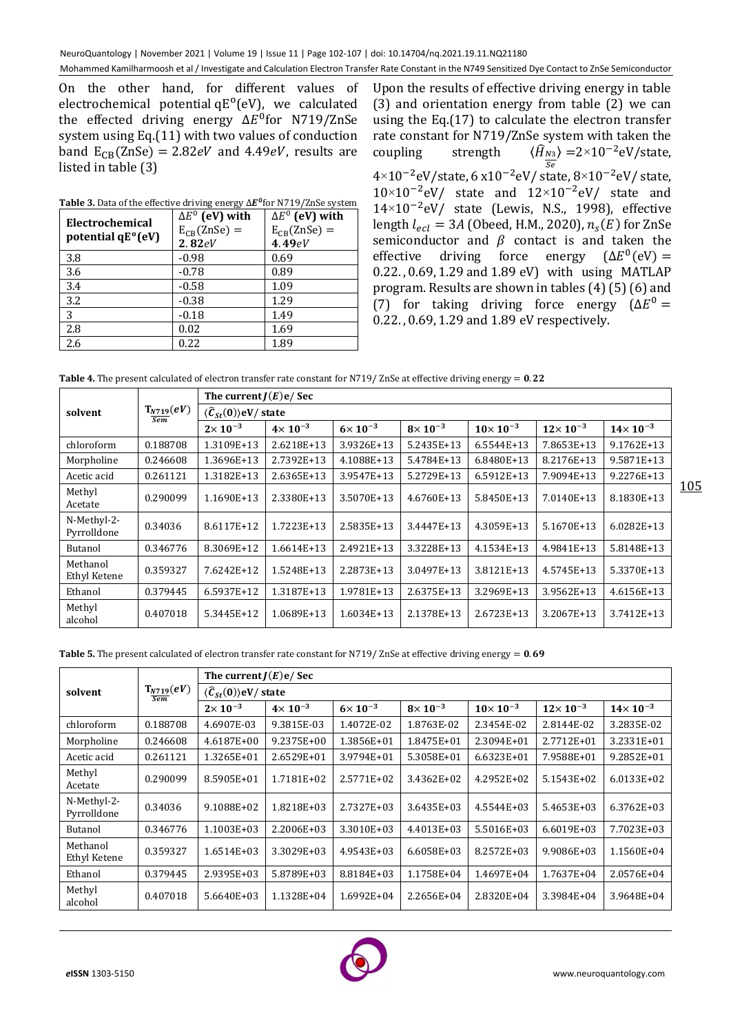On the other hand, for different values of electrochemical potential qE<sup>o</sup>(eV), we calculated the effected driving energy ΔE<sup>0</sup>for N719/ZnSe system using Eq.(11) with two values of conduction band  $E_{CB}(ZnSe) = 2.82eV$  and 4.49eV, results are listed in table (3)

| Electrochemical<br>potential qE <sup>°</sup> (eV) | $\Delta E^0$ (eV) with<br>$E_{CB}(ZnSe) =$<br>2.82eV | $\Delta E^0$ (eV) with<br>$E_{CB}(ZnSe) =$<br>4.49eV |
|---------------------------------------------------|------------------------------------------------------|------------------------------------------------------|
| 3.8                                               | $-0.98$                                              | 0.69                                                 |
| 3.6                                               | $-0.78$                                              | 0.89                                                 |
| 3.4                                               | $-0.58$                                              | 1.09                                                 |
| 3.2                                               | $-0.38$                                              | 1.29                                                 |
| 3                                                 | $-0.18$                                              | 1.49                                                 |
| 2.8                                               | 0.02                                                 | 1.69                                                 |
| 2.6                                               | 0.22                                                 | 1.89                                                 |

Table 3. Data of the effective driving energy  $\Delta E^0$  for N719/ZnSe system

Upon the results of effective driving energy in table (3) and orientation energy from table (2) we can using the Eq.(17) to calculate the electron transfer rate constant for N719/ZnSe system with taken the coupling strength 4×10<sup>-2</sup>eV/state, 6 x10<sup>-2</sup>eV/ state, 8×10<sup>-2</sup>eV/ state,  $\rangle$  =2×10<sup>-2</sup>eV/state, 10×10−2 eV/ state and 12×10−2 eV/ state and 14×10−2 eV/ state (Lewis, N.S., 1998), effective length  $l_{ecl} = 3A$  (Obeed, H.M., 2020),  $n_s(E)$  for ZnSe semiconductor and  $\beta$  contact is and taken the effective driving force energy  $^{0}$ (eV) = 0.22. , 0.69, 1.29 and 1.89 eV) with using MATLAP program. Results are shown in tables (4) (5) (6) and (7) for taking driving force energy  $(\Delta E^0 =$ 0.22. , 0.69, 1.29 and 1.89 eV respectively.

**Table 4.** The present calculated of electron transfer rate constant for N719/ ZnSe at effective driving energy = 0.22

|                            | $T_{N719}(eV)$<br>Sem | The current $J(E)e/Sec$                              |                    |                    |                  |                    |                    |                     |  |
|----------------------------|-----------------------|------------------------------------------------------|--------------------|--------------------|------------------|--------------------|--------------------|---------------------|--|
| solvent                    |                       | $\langle \hat{\mathcal{C}}_{St}(0) \rangle$ eV/state |                    |                    |                  |                    |                    |                     |  |
|                            |                       | $2\times 10^{-3}$                                    | $4 \times 10^{-3}$ | $6 \times 10^{-3}$ | $8\times10^{-3}$ | $10\times 10^{-3}$ | $12\times 10^{-3}$ | $14 \times 10^{-3}$ |  |
| chloroform                 | 0.188708              | 1.3109E+13                                           | 2.6218E+13         | 3.9326E+13         | 5.2435E+13       | 6.5544E+13         | 7.8653E+13         | 9.1762E+13          |  |
| Morpholine                 | 0.246608              | 1.3696E+13                                           | 2.7392E+13         | 4.1088E+13         | 5.4784E+13       | 6.8480E+13         | 8.2176E+13         | 9.5871E+13          |  |
| Acetic acid                | 0.261121              | 1.3182E+13                                           | 2.6365E+13         | 3.9547E+13         | 5.2729E+13       | 6.5912E+13         | 7.9094E+13         | 9.2276E+13          |  |
| Methyl<br>Acetate          | 0.290099              | 1.1690E+13                                           | 2.3380E+13         | 3.5070E+13         | 4.6760E+13       | 5.8450E+13         | 7.0140E+13         | 8.1830E+13          |  |
| N-Methyl-2-<br>Pyrrolldone | 0.34036               | 8.6117E+12                                           | 1.7223E+13         | 2.5835E+13         | 3.4447E+13       | 4.3059E+13         | 5.1670E+13         | $6.0282E+13$        |  |
| Butanol                    | 0.346776              | 8.3069E+12                                           | $1.6614E+13$       | 2.4921E+13         | 3.3228E+13       | 4.1534E+13         | 4.9841E+13         | 5.8148E+13          |  |
| Methanol<br>Ethyl Ketene   | 0.359327              | 7.6242E+12                                           | 1.5248E+13         | 2.2873E+13         | 3.0497E+13       | 3.8121E+13         | 4.5745E+13         | 5.3370E+13          |  |
| Ethanol                    | 0.379445              | 6.5937E+12                                           | 1.3187E+13         | 1.9781E+13         | 2.6375E+13       | 3.2969E+13         | 3.9562E+13         | 4.6156E+13          |  |
| Methyl<br>alcohol          | 0.407018              | 5.3445E+12                                           | 1.0689E+13         | 1.6034E+13         | 2.1378E+13       | 2.6723E+13         | 3.2067E+13         | 3.7412E+13          |  |

**Table 5.** The present calculated of electron transfer rate constant for N719/ ZnSe at effective driving energy  $= 0.69$ 

|                            |                       | The current $J(E)e/Sec$                    |                    |                    |                   |                    |                     |                     |  |
|----------------------------|-----------------------|--------------------------------------------|--------------------|--------------------|-------------------|--------------------|---------------------|---------------------|--|
| solvent                    | $T_{N719}(eV)$<br>Sem | $\langle \hat{C}_{St}(0) \rangle$ eV/state |                    |                    |                   |                    |                     |                     |  |
|                            |                       | $2 \times 10^{-3}$                         | $4 \times 10^{-3}$ | $6 \times 10^{-3}$ | $8\times 10^{-3}$ | $10\times 10^{-3}$ | $12 \times 10^{-3}$ | $14 \times 10^{-3}$ |  |
| chloroform                 | 0.188708              | 4.6907E-03                                 | 9.3815E-03         | 1.4072E-02         | 1.8763E-02        | 2.3454E-02         | 2.8144E-02          | 3.2835E-02          |  |
| Morpholine                 | 0.246608              | 4.6187E+00                                 | 9.2375E+00         | 1.3856E+01         | 1.8475E+01        | 2.3094E+01         | 2.7712E+01          | 3.2331E+01          |  |
| Acetic acid                | 0.261121              | 1.3265E+01                                 | 2.6529E+01         | 3.9794E+01         | 5.3058E+01        | $6.6323E+01$       | 7.9588E+01          | 9.2852E+01          |  |
| Methyl<br>Acetate          | 0.290099              | 8.5905E+01                                 | 1.7181E+02         | 2.5771E+02         | 3.4362E+02        | 4.2952E+02         | 5.1543E+02          | 6.0133E+02          |  |
| N-Methyl-2-<br>Pyrrolldone | 0.34036               | 9.1088E+02                                 | 1.8218E+03         | 2.7327E+03         | 3.6435E+03        | 4.5544E+03         | 5.4653E+03          | 6.3762E+03          |  |
| Butanol                    | 0.346776              | 1.1003E+03                                 | 2.2006E+03         | 3.3010E+03         | 4.4013E+03        | 5.5016E+03         | 6.6019E+03          | 7.7023E+03          |  |
| Methanol<br>Ethyl Ketene   | 0.359327              | 1.6514E+03                                 | 3.3029E+03         | 4.9543E+03         | 6.6058E+03        | 8.2572E+03         | 9.9086E+03          | 1.1560E+04          |  |
| Ethanol                    | 0.379445              | 2.9395E+03                                 | 5.8789E+03         | 8.8184E+03         | 1.1758E+04        | 1.4697E+04         | 1.7637E+04          | 2.0576E+04          |  |
| Methyl<br>alcohol          | 0.407018              | 5.6640E+03                                 | 1.1328E+04         | $1.6992E + 04$     | 2.2656E+04        | 2.8320E+04         | 3.3984E+04          | 3.9648E+04          |  |

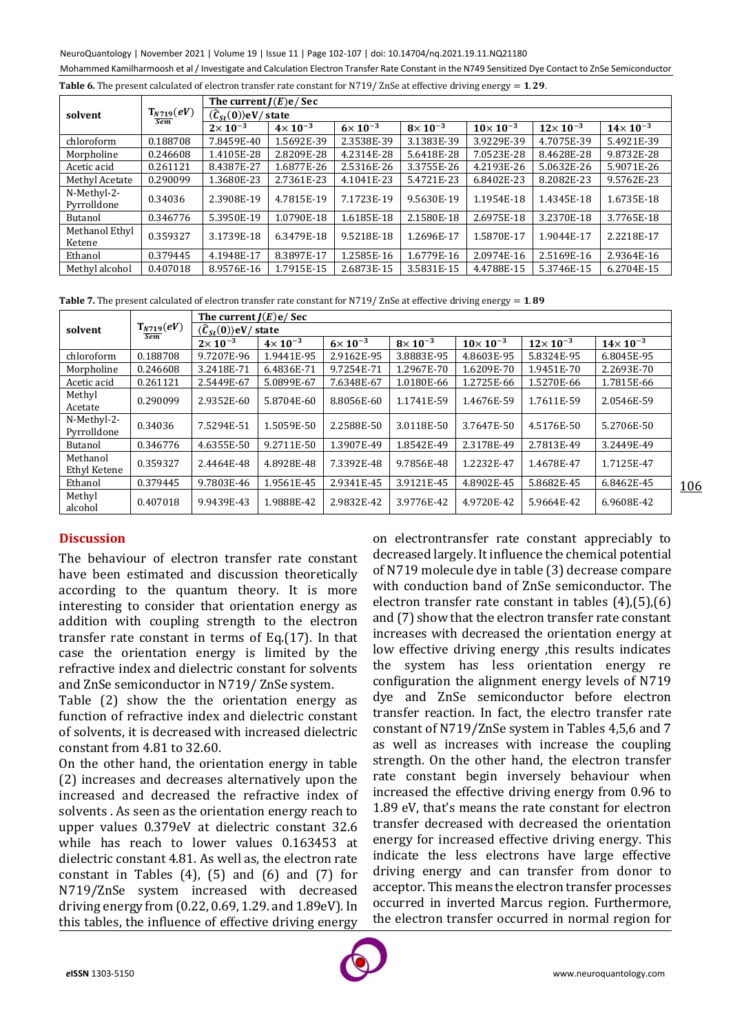NeuroQuantology | November 2021 | Volume 19 | Issue 11 | Page 102-107 | doi: 10.14704/nq.2021.19.11.NQ21180 Mohammed Kamilharmoosh et al / Investigate and Calculation Electron Transfer Rate Constant in the N749 Sensitized Dye Contact to ZnSe Semiconductor

|  |  | <b>Table 6.</b> The present calculated of electron transfer rate constant for N719/ ZnSe at effective driving energy $= 1.29$ . |
|--|--|---------------------------------------------------------------------------------------------------------------------------------|
|  |  |                                                                                                                                 |

|                            |                | The current $I(E)e/Sec$                               |                    |                    |                    |                    |                     |                     |  |  |
|----------------------------|----------------|-------------------------------------------------------|--------------------|--------------------|--------------------|--------------------|---------------------|---------------------|--|--|
| solvent                    | $T_{N719}(eV)$ | $\langle \hat{\mathcal{C}}_{St}(0) \rangle$ eV/ state |                    |                    |                    |                    |                     |                     |  |  |
|                            | Sem            | $2 \times 10^{-3}$                                    | $4 \times 10^{-3}$ | $6 \times 10^{-3}$ | $8 \times 10^{-3}$ | $10\times 10^{-3}$ | $12 \times 10^{-3}$ | $14 \times 10^{-3}$ |  |  |
| chloroform                 | 0.188708       | 7.8459E-40                                            | 1.5692E-39         | 2.3538E-39         | 3.1383E-39         | 3.9229E-39         | 4.7075E-39          | 5.4921E-39          |  |  |
| Morpholine                 | 0.246608       | 1.4105E-28                                            | 2.8209E-28         | 4.2314E-28         | 5.6418E-28         | 7.0523E-28         | 8.4628E-28          | 9.8732E-28          |  |  |
| Acetic acid                | 0.261121       | 8.4387E-27                                            | 1.6877E-26         | 2.5316E-26         | 3.3755E-26         | 4.2193E-26         | 5.0632E-26          | 5.9071E-26          |  |  |
| Methyl Acetate             | 0.290099       | 1.3680E-23                                            | 2.7361E-23         | 4.1041E-23         | 5.4721E-23         | 6.8402E-23         | 8.2082E-23          | 9.5762E-23          |  |  |
| N-Methyl-2-<br>Pyrrolldone | 0.34036        | 2.3908E-19                                            | 4.7815E-19         | 7.1723E-19         | 9.5630E-19         | 1.1954E-18         | 1.4345E-18          | 1.6735E-18          |  |  |
| Butanol                    | 0.346776       | 5.3950E-19                                            | 1.0790E-18         | 1.6185E-18         | 2.1580E-18         | 2.6975E-18         | 3.2370E-18          | 3.7765E-18          |  |  |
| Methanol Ethyl<br>Ketene   | 0.359327       | 3.1739E-18                                            | 6.3479E-18         | 9.5218E-18         | 1.2696E-17         | 1.5870E-17         | 1.9044E-17          | 2.2218E-17          |  |  |
| Ethanol                    | 0.379445       | 4.1948E-17                                            | 8.3897E-17         | 1.2585E-16         | 1.6779E-16         | 2.0974E-16         | 2.5169E-16          | 2.9364E-16          |  |  |
| Methyl alcohol             | 0.407018       | 8.9576E-16                                            | 1.7915E-15         | 2.6873E-15         | 3.5831E-15         | 4.4788E-15         | 5.3746E-15          | 6.2704E-15          |  |  |

**Table 7.** The present calculated of electron transfer rate constant for N719/ ZnSe at effective driving energy  $= 1.89$ 

|                            |                | The current $J(E)e/$ Sec                    |                    |                    |                  |                    |                     |                     |  |
|----------------------------|----------------|---------------------------------------------|--------------------|--------------------|------------------|--------------------|---------------------|---------------------|--|
| solvent                    | $T_{N719}(eV)$ | $\langle \hat{C}_{St}(0) \rangle$ eV/ state |                    |                    |                  |                    |                     |                     |  |
|                            | <b>Sem</b>     | $2\times10^{-3}$                            | $4 \times 10^{-3}$ | $6 \times 10^{-3}$ | $8\times10^{-3}$ | $10\times 10^{-3}$ | $12 \times 10^{-3}$ | $14 \times 10^{-3}$ |  |
| chloroform                 | 0.188708       | 9.7207E-96                                  | 1.9441E-95         | 2.9162E-95         | 3.8883E-95       | 4.8603E-95         | 5.8324E-95          | 6.8045E-95          |  |
| Morpholine                 | 0.246608       | 3.2418E-71                                  | 6.4836E-71         | 9.7254E-71         | 1.2967E-70       | 1.6209E-70         | 1.9451E-70          | 2.2693E-70          |  |
| Acetic acid                | 0.261121       | 2.5449E-67                                  | 5.0899E-67         | 7.6348E-67         | 1.0180E-66       | 1.2725E-66         | 1.5270E-66          | 1.7815E-66          |  |
| Methyl<br>Acetate          | 0.290099       | 2.9352E-60                                  | 5.8704E-60         | 8.8056E-60         | 1.1741E-59       | 1.4676E-59         | 1.7611E-59          | 2.0546E-59          |  |
| N-Methyl-2-<br>Pyrrolldone | 0.34036        | 7.5294E-51                                  | 1.5059E-50         | 2.2588E-50         | 3.0118E-50       | 3.7647E-50         | 4.5176E-50          | 5.2706E-50          |  |
| Butanol                    | 0.346776       | 4.6355E-50                                  | 9.2711E-50         | 1.3907E-49         | 1.8542E-49       | 2.3178E-49         | 2.7813E-49          | 3.2449E-49          |  |
| Methanol<br>Ethyl Ketene   | 0.359327       | 2.4464E-48                                  | 4.8928E-48         | 7.3392E-48         | 9.7856E-48       | 1.2232E-47         | 1.4678E-47          | 1.7125E-47          |  |
| Ethanol                    | 0.379445       | 9.7803E-46                                  | 1.9561E-45         | 2.9341E-45         | 3.9121E-45       | 4.8902E-45         | 5.8682E-45          | 6.8462E-45          |  |
| Methyl<br>alcohol          | 0.407018       | 9.9439E-43                                  | 1.9888E-42         | 2.9832E-42         | 3.9776E-42       | 4.9720E-42         | 5.9664E-42          | 6.9608E-42          |  |

## **Discussion**

The behaviour of electron transfer rate constant have been estimated and discussion theoretically according to the quantum theory. It is more interesting to consider that orientation energy as addition with coupling strength to the electron transfer rate constant in terms of Eq.(17). In that case the orientation energy is limited by the refractive index and dielectric constant for solvents and ZnSe semiconductor in N719/ ZnSe system.

Table (2) show the the orientation energy as function of refractive index and dielectric constant of solvents, it is decreased with increased dielectric constant from 4.81 to 32.60.

On the other hand, the orientation energy in table (2) increases and decreases alternatively upon the increased and decreased the refractive index of solvents . As seen as the orientation energy reach to upper values 0.379eV at dielectric constant 32.6 while has reach to lower values 0.163453 at dielectric constant 4.81. As well as, the electron rate constant in Tables  $(4)$ ,  $(5)$  and  $(6)$  and  $(7)$  for N719/ZnSe system increased with decreased driving energy from (0.22, 0.69, 1.29. and 1.89eV). In this tables, the influence of effective driving energy

on electrontransfer rate constant appreciably to decreased largely. It influence the chemical potential of N719 molecule dye in table (3) decrease compare with conduction band of ZnSe semiconductor. The electron transfer rate constant in tables (4),(5),(6) and (7) show that the electron transfer rate constant increases with decreased the orientation energy at low effective driving energy ,this results indicates the system has less orientation energy re configuration the alignment energy levels of N719 dye and ZnSe semiconductor before electron transfer reaction. In fact, the electro transfer rate constant of N719/ZnSe system in Tables 4,5,6 and 7 as well as increases with increase the coupling strength. On the other hand, the electron transfer rate constant begin inversely behaviour when increased the effective driving energy from 0.96 to 1.89 eV, that's means the rate constant for electron transfer decreased with decreased the orientation energy for increased effective driving energy. This indicate the less electrons have large effective driving energy and can transfer from donor to acceptor. This means the electron transfer processes occurred in inverted Marcus region. Furthermore, the electron transfer occurred in normal region for



106